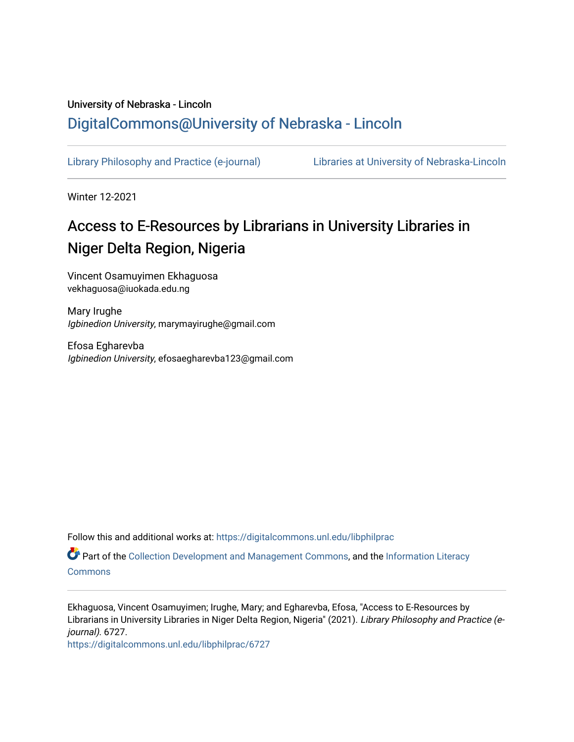## University of Nebraska - Lincoln [DigitalCommons@University of Nebraska - Lincoln](https://digitalcommons.unl.edu/)

[Library Philosophy and Practice \(e-journal\)](https://digitalcommons.unl.edu/libphilprac) [Libraries at University of Nebraska-Lincoln](https://digitalcommons.unl.edu/libraries) 

Winter 12-2021

# Access to E-Resources by Librarians in University Libraries in Niger Delta Region, Nigeria

Vincent Osamuyimen Ekhaguosa vekhaguosa@iuokada.edu.ng

Mary Irughe Igbinedion University, marymayirughe@gmail.com

Efosa Egharevba Igbinedion University, efosaegharevba123@gmail.com

Follow this and additional works at: [https://digitalcommons.unl.edu/libphilprac](https://digitalcommons.unl.edu/libphilprac?utm_source=digitalcommons.unl.edu%2Flibphilprac%2F6727&utm_medium=PDF&utm_campaign=PDFCoverPages) 

Part of the [Collection Development and Management Commons,](http://network.bepress.com/hgg/discipline/1271?utm_source=digitalcommons.unl.edu%2Flibphilprac%2F6727&utm_medium=PDF&utm_campaign=PDFCoverPages) and the [Information Literacy](http://network.bepress.com/hgg/discipline/1243?utm_source=digitalcommons.unl.edu%2Flibphilprac%2F6727&utm_medium=PDF&utm_campaign=PDFCoverPages) **[Commons](http://network.bepress.com/hgg/discipline/1243?utm_source=digitalcommons.unl.edu%2Flibphilprac%2F6727&utm_medium=PDF&utm_campaign=PDFCoverPages)** 

Ekhaguosa, Vincent Osamuyimen; Irughe, Mary; and Egharevba, Efosa, "Access to E-Resources by Librarians in University Libraries in Niger Delta Region, Nigeria" (2021). Library Philosophy and Practice (ejournal). 6727.

[https://digitalcommons.unl.edu/libphilprac/6727](https://digitalcommons.unl.edu/libphilprac/6727?utm_source=digitalcommons.unl.edu%2Flibphilprac%2F6727&utm_medium=PDF&utm_campaign=PDFCoverPages)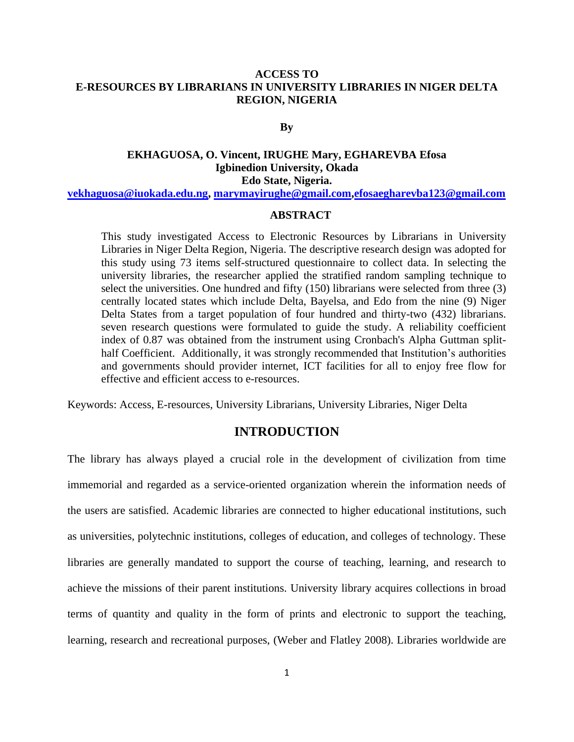## **ACCESS TO E-RESOURCES BY LIBRARIANS IN UNIVERSITY LIBRARIES IN NIGER DELTA REGION, NIGERIA**

**By**

## **EKHAGUOSA, O. Vincent, IRUGHE Mary, EGHAREVBA Efosa Igbinedion University, Okada Edo State, Nigeria.**

**[vekhaguosa@iuokada.edu.ng,](mailto:vekhaguosa@iuokada.edu.ng) [marymayirughe@gmail.com](mailto:marymayirughe@gmail.com)[,efosaegharevba123@gmail.com](mailto:efosaegharevba123@gmail.com)**

## **ABSTRACT**

This study investigated Access to Electronic Resources by Librarians in University Libraries in Niger Delta Region, Nigeria. The descriptive research design was adopted for this study using 73 items self-structured questionnaire to collect data. In selecting the university libraries, the researcher applied the stratified random sampling technique to select the universities. One hundred and fifty (150) librarians were selected from three (3) centrally located states which include Delta, Bayelsa, and Edo from the nine (9) Niger Delta States from a target population of four hundred and thirty-two (432) librarians. seven research questions were formulated to guide the study. A reliability coefficient index of 0.87 was obtained from the instrument using Cronbach's Alpha Guttman splithalf Coefficient. Additionally, it was strongly recommended that Institution's authorities and governments should provider internet, ICT facilities for all to enjoy free flow for effective and efficient access to e-resources.

Keywords: Access, E-resources, University Librarians, University Libraries, Niger Delta

## **INTRODUCTION**

The library has always played a crucial role in the development of civilization from time immemorial and regarded as a service-oriented organization wherein the information needs of the users are satisfied. Academic libraries are connected to higher educational institutions, such as universities, polytechnic institutions, colleges of education, and colleges of technology. These libraries are generally mandated to support the course of teaching, learning, and research to achieve the missions of their parent institutions. University library acquires collections in broad terms of quantity and quality in the form of prints and electronic to support the teaching, learning, research and recreational purposes, (Weber and Flatley 2008). Libraries worldwide are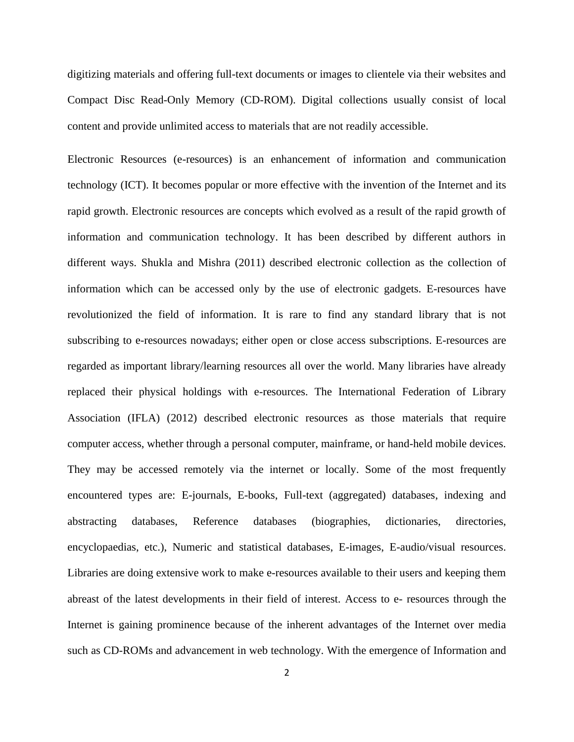digitizing materials and offering full-text documents or images to clientele via their websites and Compact Disc Read-Only Memory (CD-ROM). Digital collections usually consist of local content and provide unlimited access to materials that are not readily accessible.

Electronic Resources (e-resources) is an enhancement of information and communication technology (ICT). It becomes popular or more effective with the invention of the Internet and its rapid growth. Electronic resources are concepts which evolved as a result of the rapid growth of information and communication technology. It has been described by different authors in different ways. Shukla and Mishra (2011) described electronic collection as the collection of information which can be accessed only by the use of electronic gadgets. E-resources have revolutionized the field of information. It is rare to find any standard library that is not subscribing to e-resources nowadays; either open or close access subscriptions. E-resources are regarded as important library/learning resources all over the world. Many libraries have already replaced their physical holdings with e-resources. The International Federation of Library Association (IFLA) (2012) described electronic resources as those materials that require computer access, whether through a personal computer, mainframe, or hand-held mobile devices. They may be accessed remotely via the internet or locally. Some of the most frequently encountered types are: E-journals, E-books, Full-text (aggregated) databases, indexing and abstracting databases, Reference databases (biographies, dictionaries, directories, encyclopaedias, etc.), Numeric and statistical databases, E-images, E-audio/visual resources. Libraries are doing extensive work to make e-resources available to their users and keeping them abreast of the latest developments in their field of interest. Access to e- resources through the Internet is gaining prominence because of the inherent advantages of the Internet over media such as CD-ROMs and advancement in web technology. With the emergence of Information and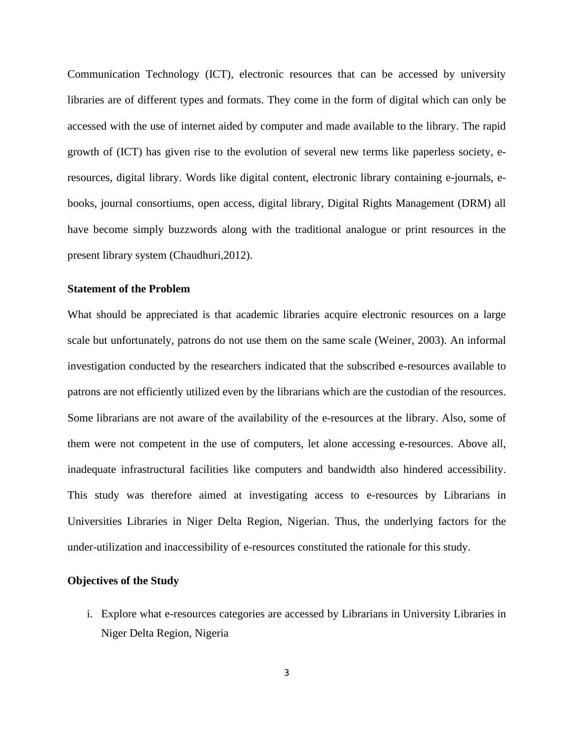Communication Technology (ICT), electronic resources that can be accessed by university libraries are of different types and formats. They come in the form of digital which can only be accessed with the use of internet aided by computer and made available to the library. The rapid growth of (ICT) has given rise to the evolution of several new terms like paperless society, eresources, digital library. Words like digital content, electronic library containing e-journals, ebooks, journal consortiums, open access, digital library, Digital Rights Management (DRM) all have become simply buzzwords along with the traditional analogue or print resources in the present library system (Chaudhuri,2012).

## **Statement of the Problem**

What should be appreciated is that academic libraries acquire electronic resources on a large scale but unfortunately, patrons do not use them on the same scale (Weiner, 2003). An informal investigation conducted by the researchers indicated that the subscribed e-resources available to patrons are not efficiently utilized even by the librarians which are the custodian of the resources. Some librarians are not aware of the availability of the e-resources at the library. Also, some of them were not competent in the use of computers, let alone accessing e-resources. Above all, inadequate infrastructural facilities like computers and bandwidth also hindered accessibility. This study was therefore aimed at investigating access to e-resources by Librarians in Universities Libraries in Niger Delta Region, Nigerian. Thus, the underlying factors for the under-utilization and inaccessibility of e-resources constituted the rationale for this study.

#### **Objectives of the Study**

i. Explore what e-resources categories are accessed by Librarians in University Libraries in Niger Delta Region, Nigeria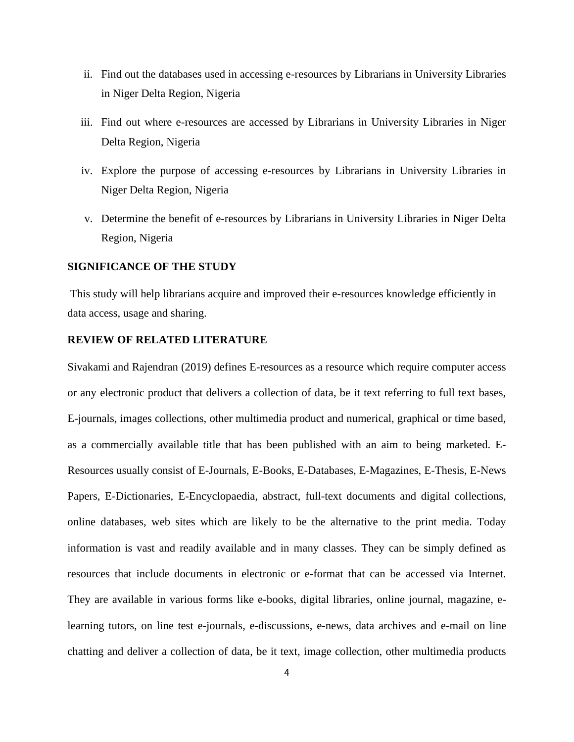- ii. Find out the databases used in accessing e-resources by Librarians in University Libraries in Niger Delta Region, Nigeria
- iii. Find out where e-resources are accessed by Librarians in University Libraries in Niger Delta Region, Nigeria
- iv. Explore the purpose of accessing e-resources by Librarians in University Libraries in Niger Delta Region, Nigeria
- v. Determine the benefit of e-resources by Librarians in University Libraries in Niger Delta Region, Nigeria

#### **SIGNIFICANCE OF THE STUDY**

This study will help librarians acquire and improved their e-resources knowledge efficiently in data access, usage and sharing.

## **REVIEW OF RELATED LITERATURE**

Sivakami and Rajendran (2019) defines E-resources as a resource which require computer access or any electronic product that delivers a collection of data, be it text referring to full text bases, E-journals, images collections, other multimedia product and numerical, graphical or time based, as a commercially available title that has been published with an aim to being marketed. E-Resources usually consist of E-Journals, E-Books, E-Databases, E-Magazines, E-Thesis, E-News Papers, E-Dictionaries, E-Encyclopaedia, abstract, full-text documents and digital collections, online databases, web sites which are likely to be the alternative to the print media. Today information is vast and readily available and in many classes. They can be simply defined as resources that include documents in electronic or e-format that can be accessed via Internet. They are available in various forms like e-books, digital libraries, online journal, magazine, elearning tutors, on line test e-journals, e-discussions, e-news, data archives and e-mail on line chatting and deliver a collection of data, be it text, image collection, other multimedia products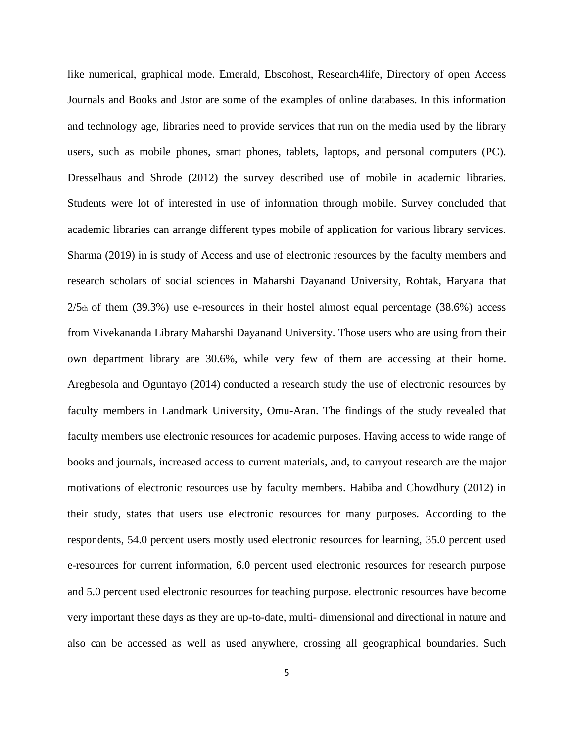like numerical, graphical mode. Emerald, Ebscohost, Research4life, Directory of open Access Journals and Books and Jstor are some of the examples of online databases. In this information and technology age, libraries need to provide services that run on the media used by the library users, such as mobile phones, smart phones, tablets, laptops, and personal computers (PC). Dresselhaus and Shrode (2012) the survey described use of mobile in academic libraries. Students were lot of interested in use of information through mobile. Survey concluded that academic libraries can arrange different types mobile of application for various library services. Sharma (2019) in is study of Access and use of electronic resources by the faculty members and research scholars of social sciences in Maharshi Dayanand University, Rohtak, Haryana that  $2/5$ th of them (39.3%) use e-resources in their hostel almost equal percentage (38.6%) access from Vivekananda Library Maharshi Dayanand University. Those users who are using from their own department library are 30.6%, while very few of them are accessing at their home. Aregbesola and Oguntayo (2014) conducted a research study the use of electronic resources by faculty members in Landmark University, Omu-Aran. The findings of the study revealed that faculty members use electronic resources for academic purposes. Having access to wide range of books and journals, increased access to current materials, and, to carryout research are the major motivations of electronic resources use by faculty members. Habiba and Chowdhury (2012) in their study, states that users use electronic resources for many purposes. According to the respondents, 54.0 percent users mostly used electronic resources for learning, 35.0 percent used e-resources for current information, 6.0 percent used electronic resources for research purpose and 5.0 percent used electronic resources for teaching purpose. electronic resources have become very important these days as they are up-to-date, multi- dimensional and directional in nature and also can be accessed as well as used anywhere, crossing all geographical boundaries. Such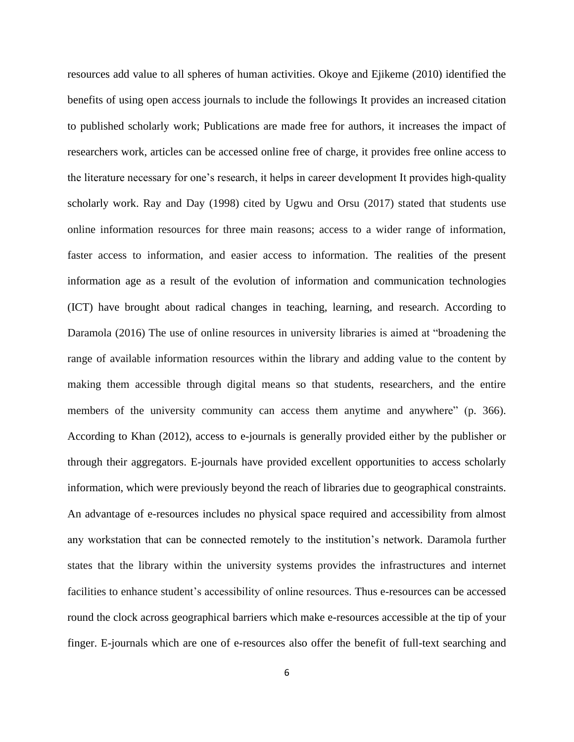resources add value to all spheres of human activities. Okoye and Ejikeme (2010) identified the benefits of using open access journals to include the followings It provides an increased citation to published scholarly work; Publications are made free for authors, it increases the impact of researchers work, articles can be accessed online free of charge, it provides free online access to the literature necessary for one's research, it helps in career development It provides high-quality scholarly work. Ray and Day (1998) cited by Ugwu and Orsu (2017) stated that students use online information resources for three main reasons; access to a wider range of information, faster access to information, and easier access to information. The realities of the present information age as a result of the evolution of information and communication technologies (ICT) have brought about radical changes in teaching, learning, and research. According to Daramola (2016) The use of online resources in university libraries is aimed at "broadening the range of available information resources within the library and adding value to the content by making them accessible through digital means so that students, researchers, and the entire members of the university community can access them anytime and anywhere" (p. 366). According to Khan (2012), access to e-journals is generally provided either by the publisher or through their aggregators. E-journals have provided excellent opportunities to access scholarly information, which were previously beyond the reach of libraries due to geographical constraints. An advantage of e-resources includes no physical space required and accessibility from almost any workstation that can be connected remotely to the institution's network. Daramola further states that the library within the university systems provides the infrastructures and internet facilities to enhance student's accessibility of online resources. Thus e-resources can be accessed round the clock across geographical barriers which make e-resources accessible at the tip of your finger. E-journals which are one of e-resources also offer the benefit of full-text searching and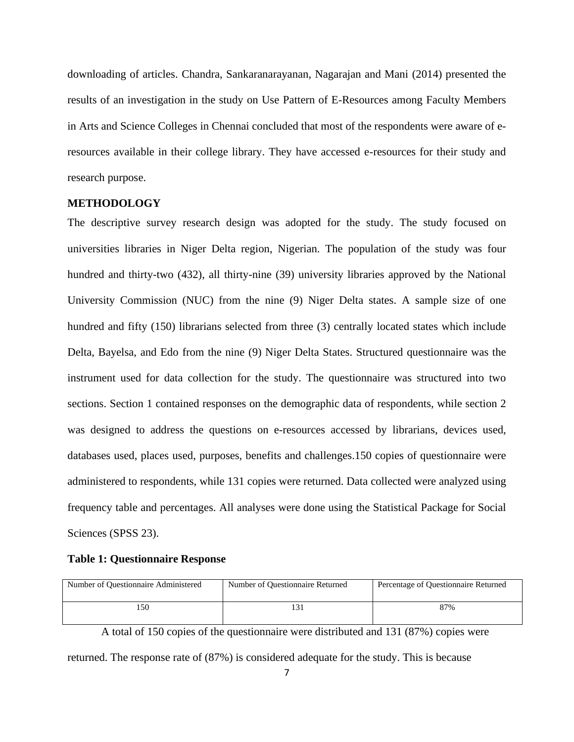downloading of articles. Chandra, Sankaranarayanan, Nagarajan and Mani (2014) presented the results of an investigation in the study on Use Pattern of E-Resources among Faculty Members in Arts and Science Colleges in Chennai concluded that most of the respondents were aware of eresources available in their college library. They have accessed e-resources for their study and research purpose.

## **METHODOLOGY**

The descriptive survey research design was adopted for the study. The study focused on universities libraries in Niger Delta region, Nigerian. The population of the study was four hundred and thirty-two (432), all thirty-nine (39) university libraries approved by the National University Commission (NUC) from the nine (9) Niger Delta states. A sample size of one hundred and fifty (150) librarians selected from three (3) centrally located states which include Delta, Bayelsa, and Edo from the nine (9) Niger Delta States. Structured questionnaire was the instrument used for data collection for the study. The questionnaire was structured into two sections. Section 1 contained responses on the demographic data of respondents, while section 2 was designed to address the questions on e-resources accessed by librarians, devices used, databases used, places used, purposes, benefits and challenges.150 copies of questionnaire were administered to respondents, while 131 copies were returned. Data collected were analyzed using frequency table and percentages. All analyses were done using the Statistical Package for Social Sciences (SPSS 23).

#### **Table 1: Questionnaire Response**

| Number of Questionnaire Administered | Number of Questionnaire Returned | Percentage of Questionnaire Returned |  |  |  |  |  |
|--------------------------------------|----------------------------------|--------------------------------------|--|--|--|--|--|
| 50                                   |                                  | 87%                                  |  |  |  |  |  |

A total of 150 copies of the questionnaire were distributed and 131 (87%) copies were

returned. The response rate of (87%) is considered adequate for the study. This is because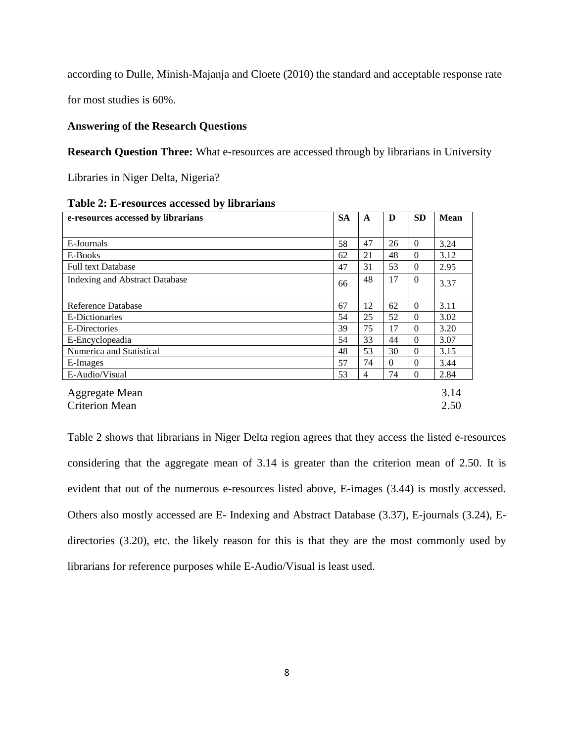according to Dulle, Minish-Majanja and Cloete (2010) the standard and acceptable response rate

for most studies is 60%.

## **Answering of the Research Questions**

**Research Question Three:** What e-resources are accessed through by librarians in University

Libraries in Niger Delta, Nigeria?

| e-resources accessed by librarians | <b>SA</b> | A  | D        | <b>SD</b> | <b>Mean</b> |
|------------------------------------|-----------|----|----------|-----------|-------------|
|                                    |           |    |          |           |             |
| E-Journals                         | 58        | 47 | 26       | $\theta$  | 3.24        |
| E-Books                            | 62        | 21 | 48       | $\Omega$  | 3.12        |
| <b>Full text Database</b>          | 47        | 31 | 53       | $\Omega$  | 2.95        |
| Indexing and Abstract Database     | 66        | 48 | 17       | $\Omega$  | 3.37        |
| Reference Database                 | 67        | 12 | 62       | $\Omega$  | 3.11        |
| E-Dictionaries                     | 54        | 25 | 52       | $\Omega$  | 3.02        |
| E-Directories                      | 39        | 75 | 17       | $\Omega$  | 3.20        |
| E-Encyclopeadia                    | 54        | 33 | 44       | $\Omega$  | 3.07        |
| Numerica and Statistical           | 48        | 53 | 30       | $\Omega$  | 3.15        |
| E-Images                           | 57        | 74 | $\Omega$ | $\theta$  | 3.44        |
| E-Audio/Visual                     | 53        | 4  | 74       | $\Omega$  | 2.84        |
| Aggregate Mean                     |           |    |          |           | 3.14        |
| <b>Criterion Mean</b>              |           |    |          |           | 2.50        |

|  | Table 2: E-resources accessed by librarians |  |  |
|--|---------------------------------------------|--|--|
|--|---------------------------------------------|--|--|

Table 2 shows that librarians in Niger Delta region agrees that they access the listed e-resources considering that the aggregate mean of 3.14 is greater than the criterion mean of 2.50. It is evident that out of the numerous e-resources listed above, E-images (3.44) is mostly accessed. Others also mostly accessed are E- Indexing and Abstract Database (3.37), E-journals (3.24), Edirectories (3.20), etc. the likely reason for this is that they are the most commonly used by librarians for reference purposes while E-Audio/Visual is least used.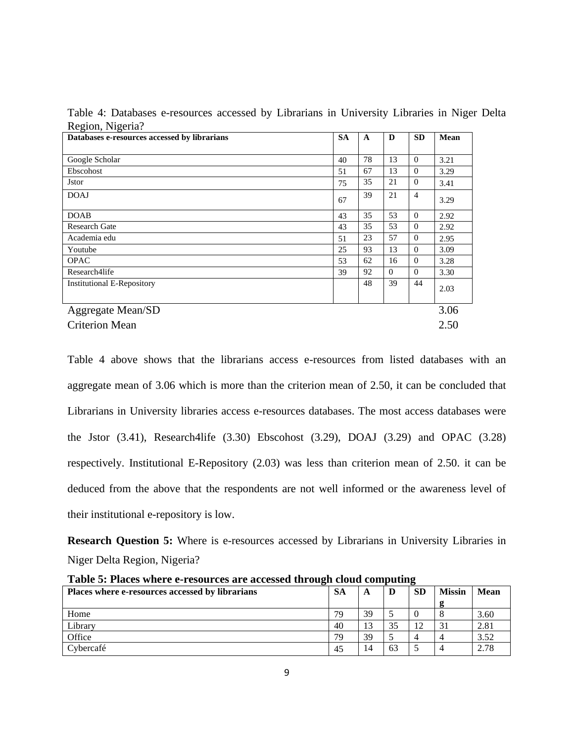| Table 4: Databases e-resources accessed by Librarians in University Libraries in Niger Delta |  |  |  |  |  |
|----------------------------------------------------------------------------------------------|--|--|--|--|--|
| Region, Nigeria?                                                                             |  |  |  |  |  |

| Databases e-resources accessed by librarians | <b>SA</b> | $\mathbf{A}$ | D              | <b>SD</b>      | Mean |
|----------------------------------------------|-----------|--------------|----------------|----------------|------|
|                                              |           |              |                |                |      |
| Google Scholar                               | 40        | 78           | 13             | $\Omega$       | 3.21 |
| Ebscohost                                    | 51        | 67           | 13             | $\Omega$       | 3.29 |
| <b>J</b> stor                                | 75        | 35           | 21             | $\theta$       | 3.41 |
| <b>DOAJ</b>                                  | 67        | 39           | 21             | $\overline{4}$ | 3.29 |
| <b>DOAB</b>                                  | 43        | 35           | 53             | $\theta$       | 2.92 |
| <b>Research Gate</b>                         | 43        | 35           | 53             | $\Omega$       | 2.92 |
| Academia edu                                 | 51        | 23           | 57             | $\Omega$       | 2.95 |
| Youtube                                      | 25        | 93           | 13             | $\theta$       | 3.09 |
| <b>OPAC</b>                                  | 53        | 62           | 16             | $\Omega$       | 3.28 |
| Research4life                                | 39        | 92           | $\overline{0}$ | $\theta$       | 3.30 |
| <b>Institutional E-Repository</b>            |           | 48           | 39             | 44             | 2.03 |
| <b>Aggregate Mean/SD</b>                     |           |              |                |                | 3.06 |
| <b>Criterion Mean</b>                        |           |              |                |                | 2.50 |

Table 4 above shows that the librarians access e-resources from listed databases with an aggregate mean of 3.06 which is more than the criterion mean of 2.50, it can be concluded that Librarians in University libraries access e-resources databases. The most access databases were the Jstor (3.41), Research4life (3.30) Ebscohost (3.29), DOAJ (3.29) and OPAC (3.28) respectively. Institutional E-Repository (2.03) was less than criterion mean of 2.50. it can be deduced from the above that the respondents are not well informed or the awareness level of their institutional e-repository is low.

**Research Question 5:** Where is e-resources accessed by Librarians in University Libraries in Niger Delta Region, Nigeria?

| THOTO OF THROW WHOLE O TODOGLOOD MID MOODDOG VIII OGLII CIOMG COIIID GOILL |           |    |    |           |               |             |  |
|----------------------------------------------------------------------------|-----------|----|----|-----------|---------------|-------------|--|
| Places where e-resources accessed by librarians                            | <b>SA</b> | A  | D  | <b>SD</b> | <b>Missin</b> | <b>Mean</b> |  |
|                                                                            |           |    |    |           | 0             |             |  |
| Home                                                                       | 79        | 39 |    |           |               | 3.60        |  |
| Library                                                                    | 40        | 13 | 35 |           | 31            | 2.81        |  |
| Office                                                                     | 79        | 39 |    |           |               | 3.52        |  |
| Cybercafé                                                                  | 45        | 14 | 63 |           | 4             | 2.78        |  |

**Table 5: Places where e-resources are accessed through cloud computing**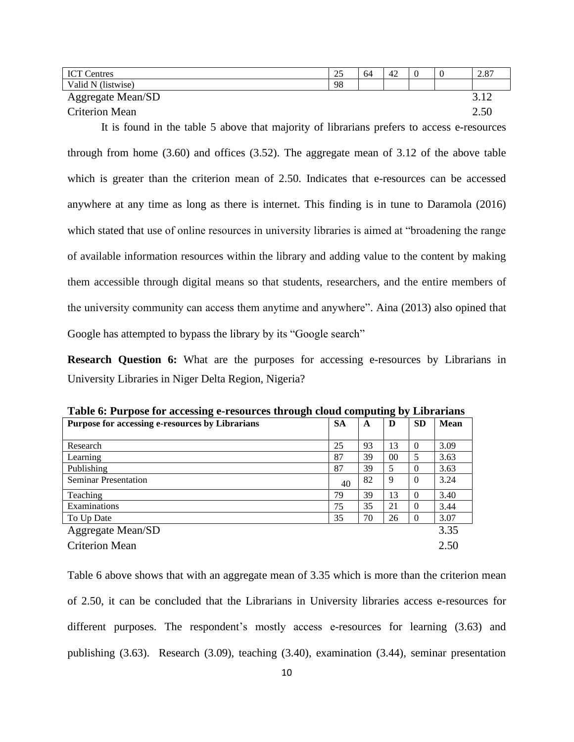| <b>ICT Centres</b>       | 25 | 64 | 42 |  | 2.87         |
|--------------------------|----|----|----|--|--------------|
| Valid N (listwise)       | 98 |    |    |  |              |
| <b>Aggregate Mean/SD</b> |    |    |    |  |              |
| <b>Criterion Mean</b>    |    |    |    |  | 2 51<br>2.JU |

It is found in the table 5 above that majority of librarians prefers to access e-resources through from home (3.60) and offices (3.52). The aggregate mean of 3.12 of the above table which is greater than the criterion mean of 2.50. Indicates that e-resources can be accessed anywhere at any time as long as there is internet. This finding is in tune to Daramola (2016) which stated that use of online resources in university libraries is aimed at "broadening the range of available information resources within the library and adding value to the content by making them accessible through digital means so that students, researchers, and the entire members of the university community can access them anytime and anywhere". Aina (2013) also opined that Google has attempted to bypass the library by its "Google search"

**Research Question 6:** What are the purposes for accessing e-resources by Librarians in University Libraries in Niger Delta Region, Nigeria?

| Table of I all post for accessing c resources infough cloud computing by<br>Livi ul iulio |           |    |        |           |             |  |  |  |
|-------------------------------------------------------------------------------------------|-----------|----|--------|-----------|-------------|--|--|--|
| Purpose for accessing e-resources by Librarians                                           | <b>SA</b> | A  | D      | <b>SD</b> | <b>Mean</b> |  |  |  |
|                                                                                           |           |    |        |           |             |  |  |  |
| Research                                                                                  | 25        | 93 | 13     | $\Omega$  | 3.09        |  |  |  |
| Learning                                                                                  | 87        | 39 | $00\,$ | 5         | 3.63        |  |  |  |
| Publishing                                                                                | 87        | 39 | 5      | $\Omega$  | 3.63        |  |  |  |
| <b>Seminar Presentation</b>                                                               | 40        | 82 | 9      | $\Omega$  | 3.24        |  |  |  |
| Teaching                                                                                  | 79        | 39 | 13     | $\Omega$  | 3.40        |  |  |  |
| Examinations                                                                              | 75        | 35 | 21     | $\Omega$  | 3.44        |  |  |  |
| To Up Date                                                                                | 35        | 70 | 26     | $\Omega$  | 3.07        |  |  |  |
| <b>Aggregate Mean/SD</b>                                                                  |           |    |        |           | 3.35        |  |  |  |
| <b>Criterion Mean</b>                                                                     |           |    |        |           | 2.50        |  |  |  |

**Table 6: Purpose for accessing e-resources through cloud computing by Librarians**

Table 6 above shows that with an aggregate mean of 3.35 which is more than the criterion mean of 2.50, it can be concluded that the Librarians in University libraries access e-resources for different purposes. The respondent's mostly access e-resources for learning (3.63) and publishing (3.63). Research (3.09), teaching (3.40), examination (3.44), seminar presentation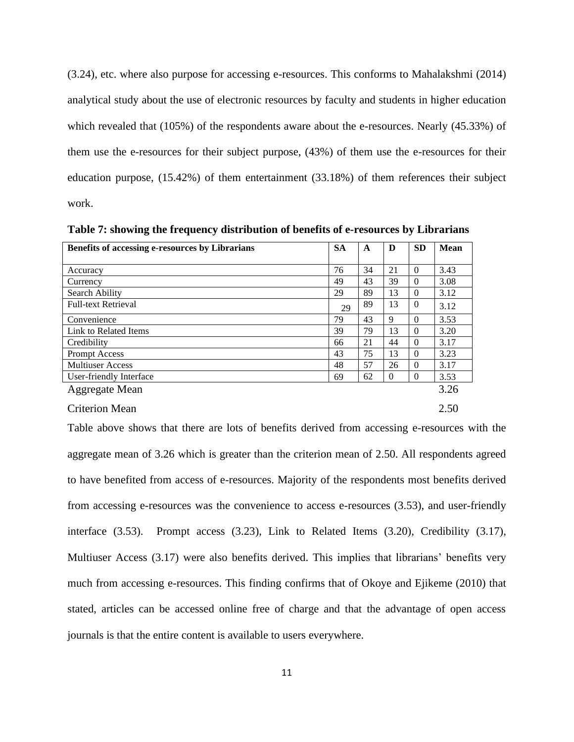(3.24), etc. where also purpose for accessing e-resources. This conforms to Mahalakshmi (2014) analytical study about the use of electronic resources by faculty and students in higher education which revealed that (105%) of the respondents aware about the e-resources. Nearly (45.33%) of them use the e-resources for their subject purpose, (43%) of them use the e-resources for their education purpose, (15.42%) of them entertainment (33.18%) of them references their subject work.

**Table 7: showing the frequency distribution of benefits of e-resources by Librarians**

| Benefits of accessing e-resources by Librarians | <b>SA</b> | A  | D        | <b>SD</b> | <b>Mean</b> |
|-------------------------------------------------|-----------|----|----------|-----------|-------------|
|                                                 |           |    |          |           |             |
| Accuracy                                        | 76        | 34 | 21       | $\Omega$  | 3.43        |
| Currency                                        | 49        | 43 | 39       | $\Omega$  | 3.08        |
| Search Ability                                  | 29        | 89 | 13       | $\Omega$  | 3.12        |
| <b>Full-text Retrieval</b>                      | 29        | 89 | 13       | $\Omega$  | 3.12        |
| Convenience                                     | 79        | 43 | 9        | $\Omega$  | 3.53        |
| Link to Related Items                           | 39        | 79 | 13       | $\Omega$  | 3.20        |
| Credibility                                     | 66        | 21 | 44       | $\Omega$  | 3.17        |
| <b>Prompt Access</b>                            | 43        | 75 | 13       | $\Omega$  | 3.23        |
| <b>Multiuser Access</b>                         | 48        | 57 | 26       | $\Omega$  | 3.17        |
| User-friendly Interface                         | 69        | 62 | $\Omega$ | $\theta$  | 3.53        |
| Aggregate Mean                                  |           |    |          |           | 3.26        |

#### Criterion Mean 2.50

Table above shows that there are lots of benefits derived from accessing e-resources with the aggregate mean of 3.26 which is greater than the criterion mean of 2.50. All respondents agreed to have benefited from access of e-resources. Majority of the respondents most benefits derived from accessing e-resources was the convenience to access e-resources (3.53), and user-friendly interface (3.53). Prompt access (3.23), Link to Related Items (3.20), Credibility (3.17), Multiuser Access (3.17) were also benefits derived. This implies that librarians' benefits very much from accessing e-resources. This finding confirms that of Okoye and Ejikeme (2010) that stated, articles can be accessed online free of charge and that the advantage of open access journals is that the entire content is available to users everywhere.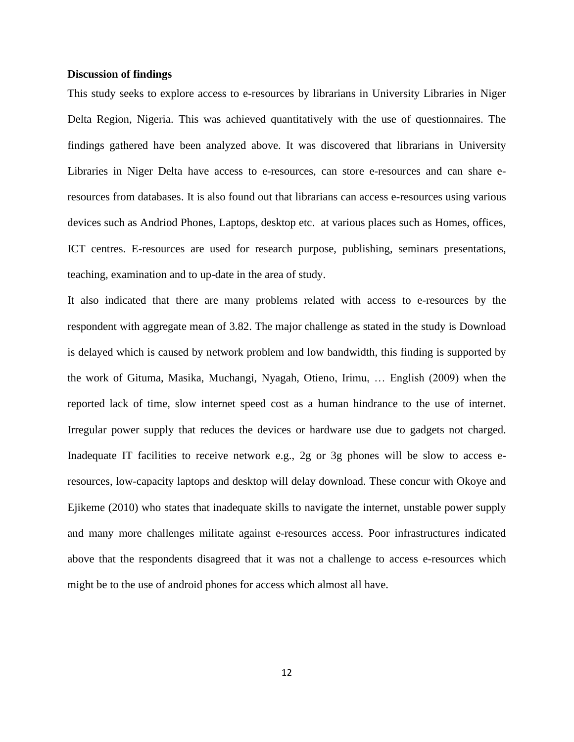### **Discussion of findings**

This study seeks to explore access to e-resources by librarians in University Libraries in Niger Delta Region, Nigeria. This was achieved quantitatively with the use of questionnaires. The findings gathered have been analyzed above. It was discovered that librarians in University Libraries in Niger Delta have access to e-resources, can store e-resources and can share eresources from databases. It is also found out that librarians can access e-resources using various devices such as Andriod Phones, Laptops, desktop etc. at various places such as Homes, offices, ICT centres. E-resources are used for research purpose, publishing, seminars presentations, teaching, examination and to up-date in the area of study.

It also indicated that there are many problems related with access to e-resources by the respondent with aggregate mean of 3.82. The major challenge as stated in the study is Download is delayed which is caused by network problem and low bandwidth, this finding is supported by the work of Gituma, Masika, Muchangi, Nyagah, Otieno, Irimu, … English (2009) when the reported lack of time, slow internet speed cost as a human hindrance to the use of internet. Irregular power supply that reduces the devices or hardware use due to gadgets not charged. Inadequate IT facilities to receive network e.g., 2g or 3g phones will be slow to access eresources, low-capacity laptops and desktop will delay download. These concur with Okoye and Ejikeme (2010) who states that inadequate skills to navigate the internet, unstable power supply and many more challenges militate against e-resources access. Poor infrastructures indicated above that the respondents disagreed that it was not a challenge to access e-resources which might be to the use of android phones for access which almost all have.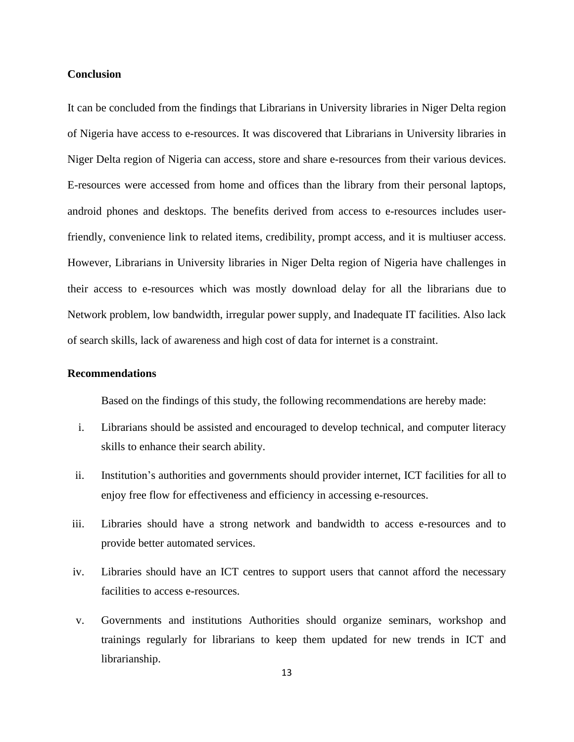### **Conclusion**

It can be concluded from the findings that Librarians in University libraries in Niger Delta region of Nigeria have access to e-resources. It was discovered that Librarians in University libraries in Niger Delta region of Nigeria can access, store and share e-resources from their various devices. E-resources were accessed from home and offices than the library from their personal laptops, android phones and desktops. The benefits derived from access to e-resources includes userfriendly, convenience link to related items, credibility, prompt access, and it is multiuser access. However, Librarians in University libraries in Niger Delta region of Nigeria have challenges in their access to e-resources which was mostly download delay for all the librarians due to Network problem, low bandwidth, irregular power supply, and Inadequate IT facilities. Also lack of search skills, lack of awareness and high cost of data for internet is a constraint.

### **Recommendations**

Based on the findings of this study, the following recommendations are hereby made:

- i. Librarians should be assisted and encouraged to develop technical, and computer literacy skills to enhance their search ability.
- ii. Institution's authorities and governments should provider internet, ICT facilities for all to enjoy free flow for effectiveness and efficiency in accessing e-resources.
- iii. Libraries should have a strong network and bandwidth to access e-resources and to provide better automated services.
- iv. Libraries should have an ICT centres to support users that cannot afford the necessary facilities to access e-resources.
- v. Governments and institutions Authorities should organize seminars, workshop and trainings regularly for librarians to keep them updated for new trends in ICT and librarianship.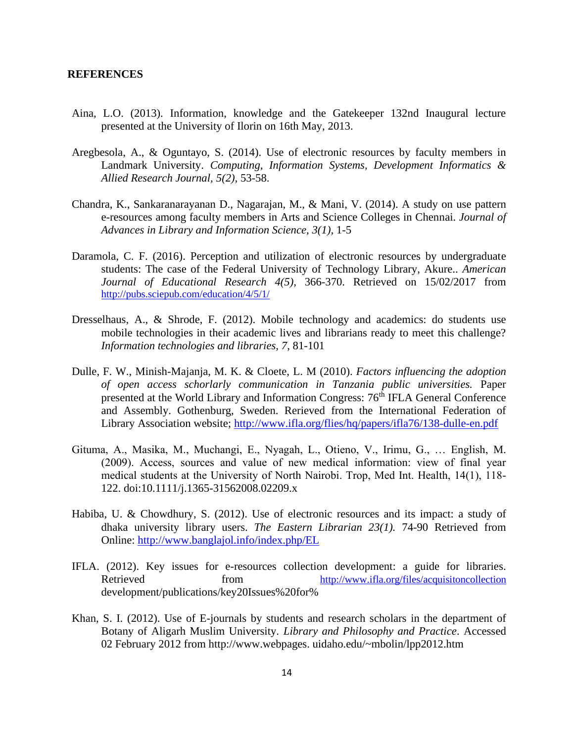#### **REFERENCES**

- Aina, L.O. (2013). Information, knowledge and the Gatekeeper 132nd Inaugural lecture presented at the University of Ilorin on 16th May, 2013.
- Aregbesola, A., & Oguntayo, S. (2014). Use of electronic resources by faculty members in Landmark University. *Computing, Information Systems, Development Informatics & Allied Research Journal, 5(2),* 53-58.
- Chandra, K., Sankaranarayanan D., Nagarajan, M., & Mani, V. (2014). A study on use pattern e-resources among faculty members in Arts and Science Colleges in Chennai. *Journal of Advances in Library and Information Science, 3(1),* 1-5
- Daramola, C. F. (2016). Perception and utilization of electronic resources by undergraduate students: The case of the Federal University of Technology Library, Akure.. *American Journal of Educational Research 4(5),* 366-370. Retrieved on 15/02/2017 from <http://pubs.sciepub.com/education/4/5/1/>
- Dresselhaus, A., & Shrode, F. (2012). Mobile technology and academics: do students use mobile technologies in their academic lives and librarians ready to meet this challenge? *Information technologies and libraries, 7*, 81-101
- Dulle, F. W., Minish-Majanja, M. K. & Cloete, L. M (2010). *Factors influencing the adoption of open access schorlarly communication in Tanzania public universities.* Paper presented at the World Library and Information Congress: 76<sup>th</sup> IFLA General Conference and Assembly. Gothenburg, Sweden. Rerieved from the International Federation of Library Association website;<http://www.ifla.org/flies/hq/papers/ifla76/138-dulle-en.pdf>
- Gituma, A., Masika, M., Muchangi, E., Nyagah, L., Otieno, V., Irimu, G., ... English, M. (2009). Access, sources and value of new medical information: view of final year medical students at the University of North Nairobi. Trop, Med Int. Health, 14(1), 118-122. doi:10.1111/j.1365-31562008.02209.x
- Habiba, U. & Chowdhury, S. (2012). Use of electronic resources and its impact: a study of dhaka university library users. *The Eastern Librarian 23(1).* 74-90 Retrieved from Online:<http://www.banglajol.info/index.php/EL>
- IFLA. (2012). Key issues for e-resources collection development: a guide for libraries. Retrieved from <http://www.ifla.org/files/acquisitoncollection> development/publications/key20Issues%20for%
- Khan, S. I. (2012). Use of E-journals by students and research scholars in the department of Botany of Aligarh Muslim University. *Library and Philosophy and Practice*. Accessed 02 February 2012 from http://www.webpages. uidaho.edu/~mbolin/lpp2012.htm